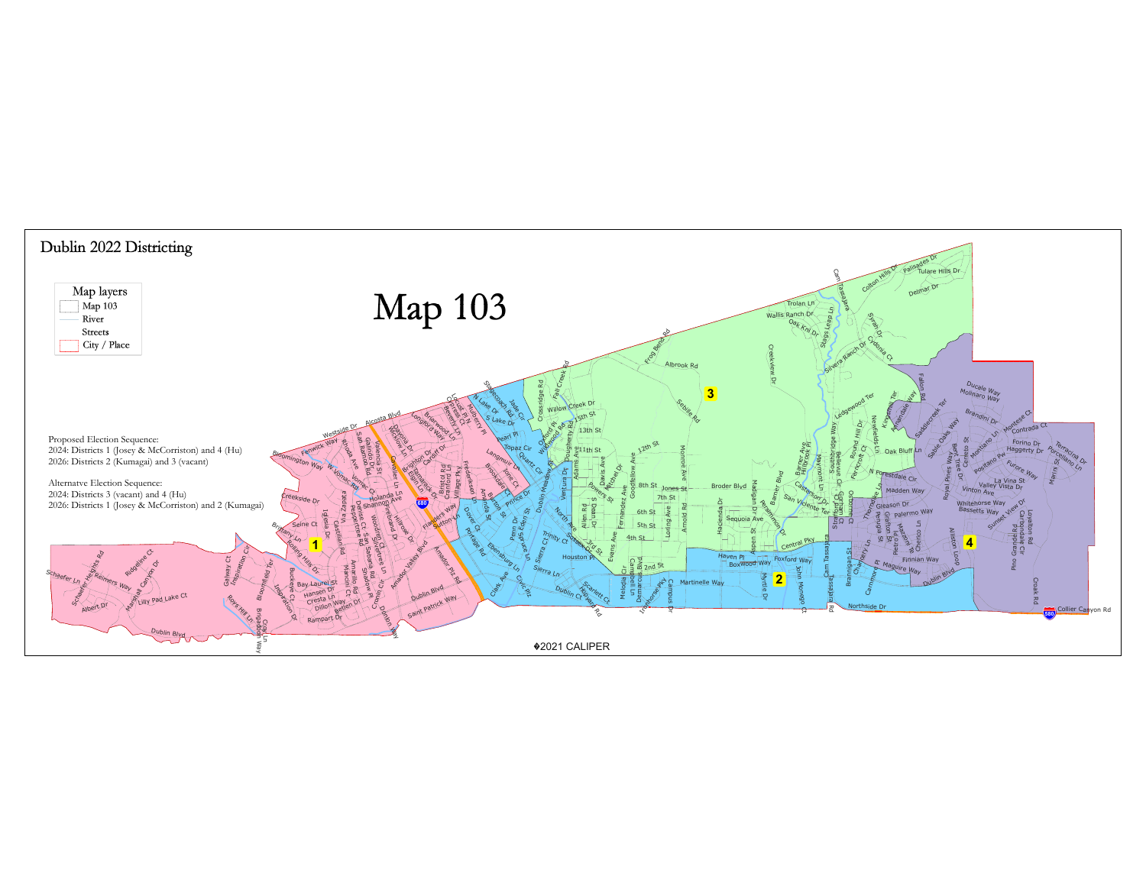